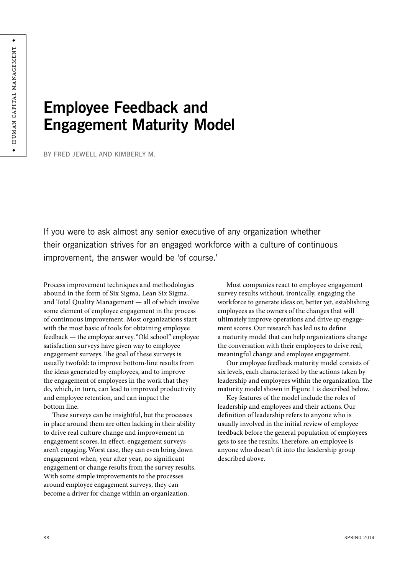# **Employee Feedback and Engagement Maturity Model**

BY FRED JEWELL AND KIMBERLY M.

If you were to ask almost any senior executive of any organization whether their organization strives for an engaged workforce with a culture of continuous improvement, the answer would be 'of course.'

Process improvement techniques and methodologies abound in the form of Six Sigma, Lean Six Sigma, and Total Quality Management — all of which involve some element of employee engagement in the process of continuous improvement. Most organizations start with the most basic of tools for obtaining employee feedback — the employee survey."Old school" employee satisfaction surveys have given way to employee engagement surveys.The goal of these surveys is usually twofold: to improve bottom-line results from the ideas generated by employees, and to improve the engagement of employees in the work that they do, which, in turn, can lead to improved productivity and employee retention, and can impact the bottom line.

These surveys can be insightful, but the processes in place around them are often lacking in their ability to drive real culture change and improvement in engagement scores.In effect, engagement surveys aren't engaging.Worst case, they can even bring down engagement when, year after year, no significant engagement or change results from the survey results. With some simple improvements to the processes around employee engagement surveys, they can become a driver for change within an organization.

Most companies react to employee engagement survey results without, ironically, engaging the workforce to generate ideas or, better yet, establishing employees as the owners of the changes that will ultimately improve operations and drive up engagement scores.Our research has led us to define a maturity model that can help organizations change the conversation with their employees to drive real, meaningful change and employee engagement.

Our employee feedback maturity model consists of six levels, each characterized by the actions taken by leadership and employees within the organization.The maturity model shown in Figure 1 is described below.

Key features of the model include the roles of leadership and employees and their actions.Our definition of leadership refers to anyone who is usually involved in the initial review of employee feedback before the general population of employees gets to see the results.Therefore, an employee is anyone who doesn't fit into the leadership group described above.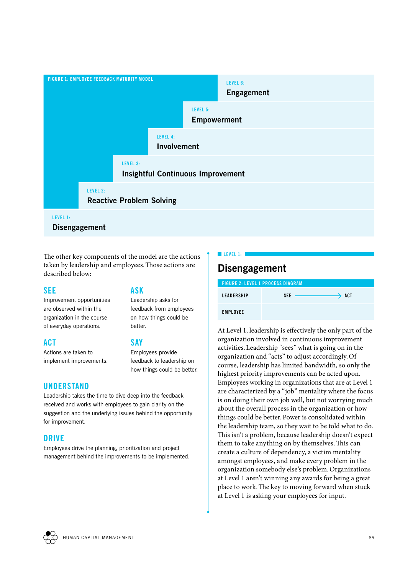

## **LEVEL 1:**

**Disengagement**

The other key components of the model are the actions taken by leadership and employees.Those actions are described below:

#### **SEE**

Improvement opportunities are observed within the organization in the course of everyday operations.

### **ACT**

Actions are taken to implement improvements.

## **UNDERSTAND**

# **ASK**

Leadership asks for feedback from employees on how things could be better.

## **SAY**

Employees provide feedback to leadership on how things could be better.

Leadership takes the time to dive deep into the feedback received and works with employees to gain clarity on the suggestion and the underlying issues behind the opportunity for improvement.

## **DRIVE**

Employees drive the planning, prioritization and project management behind the improvements to be implemented.

# **Disengagement**

**LEVEL 1:** 

| <b>FIGURE 2: LEVEL 1 PROCESS DIAGRAM</b> |            |                   |
|------------------------------------------|------------|-------------------|
| <b>LEADERSHIP</b>                        | <b>SEE</b> | $\rightarrow$ act |
| <b>EMPLOYEE</b>                          |            |                   |

At Level 1, leadership is effectively the only part of the organization involved in continuous improvement activities.Leadership "sees" what is going on in the organization and "acts" to adjust accordingly.Of course, leadership has limited bandwidth, so only the highest priority improvements can be acted upon. Employees working in organizations that are at Level 1 are characterized by a "job" mentality where the focus is on doing their own job well, but not worrying much about the overall process in the organization or how things could be better.Power is consolidated within the leadership team, so they wait to be told what to do. This isn't a problem, because leadership doesn't expect them to take anything on by themselves.This can create a culture of dependency, a victim mentality amongst employees, and make every problem in the organization somebody else's problem.Organizations at Level 1 aren't winning any awards for being a great place to work.The key to moving forward when stuck at Level 1 is asking your employees for input.

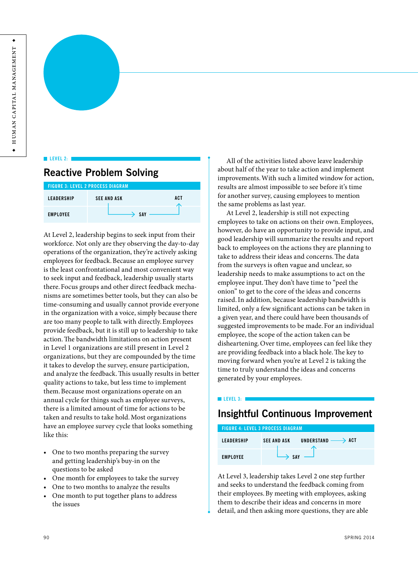#### **LEVEL 2:**

# **Reactive Problem Solving**

| <b>FIGURE 3: LEVEL 2 PROCESS DIAGRAM</b> |                    |     |
|------------------------------------------|--------------------|-----|
| <b>LEADERSHIP</b>                        | <b>SEE AND ASK</b> | ACT |
| <b>EMPLOYEE</b>                          | <b>SAY</b>         |     |

At Level 2, leadership begins to seek input from their workforce. Not only are they observing the day-to-day operations of the organization, they're actively asking employees for feedback.Because an employee survey is the least confrontational and most convenient way to seek input and feedback, leadership usually starts there. Focus groups and other direct feedback mechanisms are sometimes better tools, but they can also be time-consuming and usually cannot provide everyone in the organization with a voice, simply because there are too many people to talk with directly.Employees provide feedback, but it is still up to leadership to take action.The bandwidth limitations on action present in Level 1 organizations are still present in Level 2 organizations, but they are compounded by the time it takes to develop the survey, ensure participation, and analyze the feedback.This usually results in better quality actions to take, but less time to implement them.Because most organizations operate on an annual cycle for things such as employee surveys, there is a limited amount of time for actions to be taken and results to take hold.Most organizations have an employee survey cycle that looks something like this:

- One to two months preparing the survey and getting leadership's buy-in on the questions to be asked
- One month for employees to take the survey
- One to two months to analyze the results
- One month to put together plans to address the issues

All of the activities listed above leave leadership about half of the year to take action and implement improvements.With such a limited window for action, results are almost impossible to see before it's time for another survey, causing employees to mention the same problems as last year.

At Level 2, leadership is still not expecting employees to take on actions on their own.Employees, however, do have an opportunity to provide input, and good leadership will summarize the results and report back to employees on the actions they are planning to take to address their ideas and concerns.The data from the surveys is often vague and unclear, so leadership needs to make assumptions to act on the employee input.They don't have time to "peel the onion" to get to the core of the ideas and concerns raised.In addition, because leadership bandwidth is limited, only a few significant actions can be taken in a given year, and there could have been thousands of suggested improvements to be made. For an individual employee, the scope of the action taken can be disheartening.Over time, employees can feel like they are providing feedback into a black hole.The key to moving forward when you're at Level 2 is taking the time to truly understand the ideas and concerns generated by your employees.

#### **LEVEL 3:**

# **Insightful Continuous Improvement**

| <b>FIGURE 4: LEVEL 3 PROCESS DIAGRAM</b> |                    |                                  |
|------------------------------------------|--------------------|----------------------------------|
| LEADERSHIP                               | <b>SEE AND ASK</b> | UNDERSTAND $\longrightarrow$ ACT |
| <b>EMPLOYEE</b>                          | SAY                |                                  |

At Level 3, leadership takes Level 2 one step further and seeks to understand the feedback coming from their employees.By meeting with employees, asking them to describe their ideas and concerns in more detail, and then asking more questions, they are able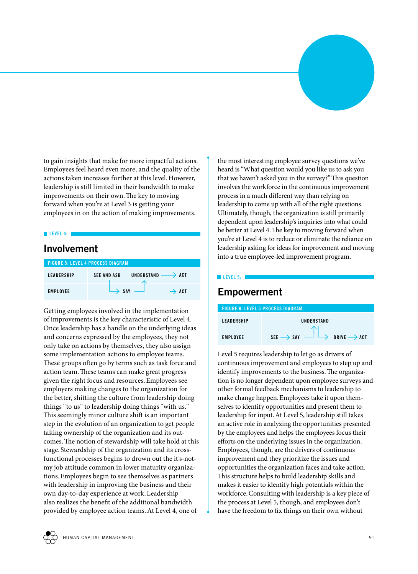to gain insights that make for more impactful actions. Employees feel heard even more, and the quality of the actions taken increases further at this level.However, leadership is still limited in their bandwidth to make improvements on their own.The key to moving forward when you're at Level 3 is getting your employees in on the action of making improvements.

#### **LEVEL 4:**

## **Involvement**

| <b>FIGURE 5: LEVEL 4 PROCESS DIAGRAM</b> |                                                       |  |
|------------------------------------------|-------------------------------------------------------|--|
| <b>LEADERSHIP</b>                        | UNDERSTAND<br>$\rightarrow$ act<br><b>SEE AND ASK</b> |  |
| <b>EMPLOYEE</b>                          | SAY<br><b>ACT</b>                                     |  |

Getting employees involved in the implementation of improvements is the key characteristic of Level 4. Once leadership has a handle on the underlying ideas and concerns expressed by the employees, they not only take on actions by themselves, they also assign some implementation actions to employee teams. These groups often go by terms such as task force and action team.These teams can make great progress given the right focus and resources.Employees see employers making changes to the organization for the better, shifting the culture from leadership doing things "to us" to leadership doing things "with us." This seemingly minor culture shift is an important step in the evolution of an organization to get people taking ownership of the organization and its outcomes.The notion of stewardship will take hold at this stage. Stewardship of the organization and its crossfunctional processes begins to drown out the it's-notmy job attitude common in lower maturity organizations.Employees begin to see themselves as partners with leadership in improving the business and their own day-to-day experience at work.Leadership also realizes the benefit of the additional bandwidth provided by employee action teams.At Level 4, one of

the most interesting employee survey questions we've heard is "What question would you like us to ask you that we haven't asked you in the survey?"This question involves the workforce in the continuous improvement process in a much different way than relying on leadership to come up with all of the right questions. Ultimately, though, the organization is still primarily dependent upon leadership's inquiries into what could be better at Level 4.The key to moving forward when you're at Level 4 is to reduce or eliminate the reliance on leadership asking for ideas for improvement and moving into a true employee-led improvement program.

#### **LEVEL 5: 1**

## **Empowerment**

| <b>FIGURE 6: LEVEL 5 PROCESS DIAGRAM</b> |                                                                |  |
|------------------------------------------|----------------------------------------------------------------|--|
| <b>LEADERSHIP</b>                        | UNDERSTAND                                                     |  |
| <b>EMPLOYEE</b>                          | $SE \rightarrow$ SAY $\longrightarrow$ DRIVE $\rightarrow$ ACT |  |

Level 5 requires leadership to let go as drivers of continuous improvement and employees to step up and identify improvements to the business. The organization is no longer dependent upon employee surveys and other formal feedback mechanisms to leadership to make change happen.Employees take it upon themselves to identify opportunities and present them to leadership for input.At Level 5, leadership still takes an active role in analyzing the opportunities presented by the employees and helps the employees focus their efforts on the underlying issues in the organization. Employees, though, are the drivers of continuous improvement and they prioritize the issues and opportunities the organization faces and take action. This structure helps to build leadership skills and makes it easier to identify high potentials within the workforce.Consulting with leadership is a key piece of the process at Level 5, though, and employees don't have the freedom to fix things on their own without

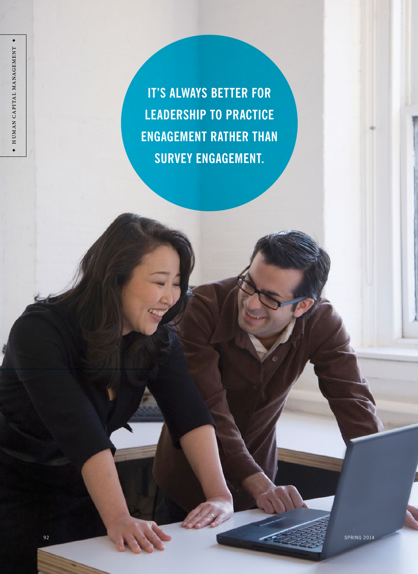**IT'S ALWAYS BETTER FOR LEADERSHIP TO PRACTICE ENGAGEMENT RATHER THAN SURVEY ENGAGEMENT.**

◆

Human capital management ◆

HUMAN CAPITAL MANAGEMENT

 $\bullet$ 

ed and the second second second second second second second second second second second second second second second second second second second second second second second second second second second second second second s